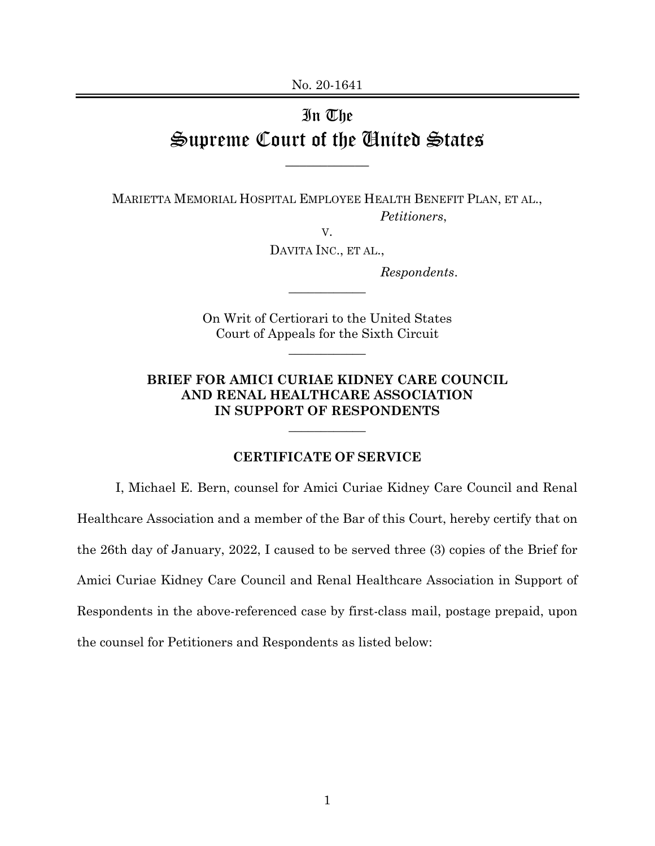## In The Supreme Court of the United States

\_\_\_\_\_\_\_\_\_\_\_\_

MARIETTA MEMORIAL HOSPITAL EMPLOYEE HEALTH BENEFIT PLAN, ET AL., *Petitioners*,

V.

DAVITA INC., ET AL.,

 $\overline{\phantom{a}}$ 

*Respondents*.

On Writ of Certiorari to the United States Court of Appeals for the Sixth Circuit

 $\overline{\phantom{a}}$ 

**BRIEF FOR AMICI CURIAE KIDNEY CARE COUNCIL AND RENAL HEALTHCARE ASSOCIATION IN SUPPORT OF RESPONDENTS** 

 $\overline{\phantom{a}}$ 

## **CERTIFICATE OF SERVICE**

I, Michael E. Bern, counsel for Amici Curiae Kidney Care Council and Renal Healthcare Association and a member of the Bar of this Court, hereby certify that on the 26th day of January, 2022, I caused to be served three (3) copies of the Brief for Amici Curiae Kidney Care Council and Renal Healthcare Association in Support of Respondents in the above-referenced case by first-class mail, postage prepaid, upon the counsel for Petitioners and Respondents as listed below: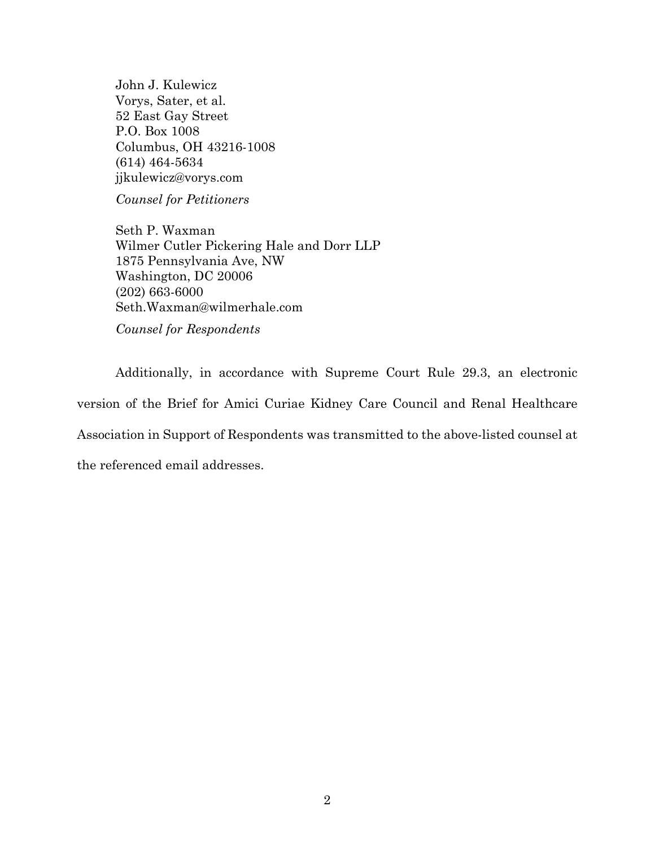John J. Kulewicz Vorys, Sater, et al. 52 East Gay Street P.O. Box 1008 Columbus, OH 43216-1008 (614) 464-5634 jjkulewicz@vorys.com

*Counsel for Petitioners* 

Seth P. Waxman Wilmer Cutler Pickering Hale and Dorr LLP 1875 Pennsylvania Ave, NW Washington, DC 20006 (202) 663-6000 Seth.Waxman@wilmerhale.com *Counsel for Respondents* 

Additionally, in accordance with Supreme Court Rule 29.3, an electronic version of the Brief for Amici Curiae Kidney Care Council and Renal Healthcare Association in Support of Respondents was transmitted to the above-listed counsel at the referenced email addresses.